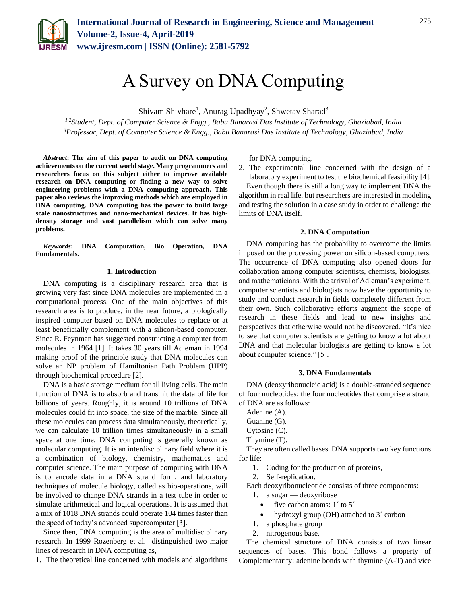

# A Survey on DNA Computing

Shivam Shivhare<sup>1</sup>, Anurag Upadhyay<sup>2</sup>, Shwetav Sharad<sup>3</sup>

*1,2Student, Dept. of Computer Science & Engg., Babu Banarasi Das Institute of Technology, Ghaziabad, India <sup>3</sup>Professor, Dept. of Computer Science & Engg., Babu Banarasi Das Institute of Technology, Ghaziabad, India*

*Abstract***: The aim of this paper to audit on DNA computing achievements on the current world stage. Many programmers and researchers focus on this subject either to improve available research on DNA computing or finding a new way to solve engineering problems with a DNA computing approach. This paper also reviews the improving methods which are employed in DNA computing. DNA computing has the power to build large scale nanostructures and nano-mechanical devices. It has highdensity storage and vast parallelism which can solve many problems.**

*Keywords***: DNA Computation, Bio Operation, DNA Fundamentals.**

#### **1. Introduction**

DNA computing is a disciplinary research area that is growing very fast since DNA molecules are implemented in a computational process. One of the main objectives of this research area is to produce, in the near future, a biologically inspired computer based on DNA molecules to replace or at least beneficially complement with a silicon-based computer. Since R. Feynman has suggested constructing a computer from molecules in 1964 [1]. It takes 30 years till Adleman in 1994 making proof of the principle study that DNA molecules can solve an NP problem of Hamiltonian Path Problem (HPP) through biochemical procedure [2].

DNA is a basic storage medium for all living cells. The main function of DNA is to absorb and transmit the data of life for billions of years. Roughly, it is around 10 trillions of DNA molecules could fit into space, the size of the marble. Since all these molecules can process data simultaneously, theoretically, we can calculate 10 trillion times simultaneously in a small space at one time. DNA computing is generally known as molecular computing. It is an interdisciplinary field where it is a combination of biology, chemistry, mathematics and computer science. The main purpose of computing with DNA is to encode data in a DNA strand form, and laboratory techniques of molecule biology, called as bio-operations, will be involved to change DNA strands in a test tube in order to simulate arithmetical and logical operations. It is assumed that a mix of 1018 DNA strands could operate 104 times faster than the speed of today's advanced supercomputer [3].

Since then, DNA computing is the area of multidisciplinary research. In 1999 Rozenberg et al. distinguished two major lines of research in DNA computing as,

1. The theoretical line concerned with models and algorithms

for DNA computing.

2. The experimental line concerned with the design of a laboratory experiment to test the biochemical feasibility [4].

Even though there is still a long way to implement DNA the algorithm in real life, but researchers are interested in modeling and testing the solution in a case study in order to challenge the limits of DNA itself.

#### **2. DNA Computation**

DNA computing has the probability to overcome the limits imposed on the processing power on silicon-based computers. The occurrence of DNA computing also opened doors for collaboration among computer scientists, chemists, biologists, and mathematicians. With the arrival of Adleman's experiment, computer scientists and biologists now have the opportunity to study and conduct research in fields completely different from their own. Such collaborative efforts augment the scope of research in these fields and lead to new insights and perspectives that otherwise would not be discovered. "It's nice to see that computer scientists are getting to know a lot about DNA and that molecular biologists are getting to know a lot about computer science." [5].

#### **3. DNA Fundamentals**

DNA (deoxyribonucleic acid) is a double-stranded sequence of four nucleotides; the four nucleotides that comprise a strand of DNA are as follows:

Adenine (A).

- Guanine (G).
- Cytosine (C).
- Thymine (T).

They are often called bases. DNA supports two key functions for life:

1. Coding for the production of proteins,

2. Self-replication.

Each deoxyribonucleotide consists of three components:

- 1. a sugar deoxyribose
	- five carbon atoms:  $1'$  to  $5'$
	- hydroxyl group (OH) attached to 3´ carbon
- 1. a phosphate group
- 2. nitrogenous base.

The chemical structure of DNA consists of two linear sequences of bases. This bond follows a property of Complementarity: adenine bonds with thymine (A-T) and vice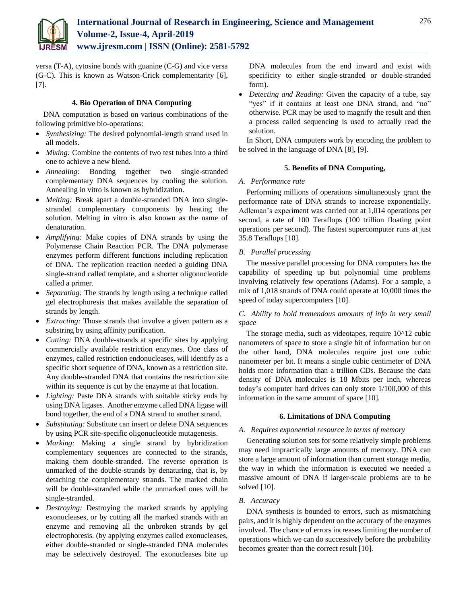

versa (T-A), cytosine bonds with guanine (C-G) and vice versa (G-C). This is known as Watson-Crick complementarity [6], [7].

## **4. Bio Operation of DNA Computing**

DNA computation is based on various combinations of the following primitive bio-operations:

- *Synthesizing:* The desired polynomial-length strand used in all models.
- *Mixing:* Combine the contents of two test tubes into a third one to achieve a new blend.
- *Annealing:* Bonding together two single-stranded complementary DNA sequences by cooling the solution. Annealing in vitro is known as hybridization.
- *Melting:* Break apart a double-stranded DNA into singlestranded complementary components by heating the solution. Melting in vitro is also known as the name of denaturation.
- *Amplifying:* Make copies of DNA strands by using the Polymerase Chain Reaction PCR. The DNA polymerase enzymes perform different functions including replication of DNA. The replication reaction needed a guiding DNA single-strand called template, and a shorter oligonucleotide called a primer.
- *Separating:* The strands by length using a technique called gel electrophoresis that makes available the separation of strands by length.
- *Extracting:* Those strands that involve a given pattern as a substring by using affinity purification.
- *Cutting:* DNA double-strands at specific sites by applying commercially available restriction enzymes. One class of enzymes, called restriction endonucleases, will identify as a specific short sequence of DNA, known as a restriction site. Any double-stranded DNA that contains the restriction site within its sequence is cut by the enzyme at that location.
- *Lighting:* Paste DNA strands with suitable sticky ends by using DNA ligases. Another enzyme called DNA ligase will bond together, the end of a DNA strand to another strand.
- *Substituting:* Substitute can insert or delete DNA sequences by using PCR site-specific oligonucleotide mutagenesis.
- *Marking:* Making a single strand by hybridization complementary sequences are connected to the strands, making them double-stranded. The reverse operation is unmarked of the double-strands by denaturing, that is, by detaching the complementary strands. The marked chain will be double-stranded while the unmarked ones will be single-stranded.
- *Destroying:* Destroying the marked strands by applying exonucleases, or by cutting all the marked strands with an enzyme and removing all the unbroken strands by gel electrophoresis. (by applying enzymes called exonucleases, either double-stranded or single-stranded DNA molecules may be selectively destroyed. The exonucleases bite up

DNA molecules from the end inward and exist with specificity to either single-stranded or double-stranded form).

 *Detecting and Reading:* Given the capacity of a tube, say "yes" if it contains at least one DNA strand, and "no" otherwise. PCR may be used to magnify the result and then a process called sequencing is used to actually read the solution.

In Short, DNA computers work by encoding the problem to be solved in the language of DNA [8], [9].

## **5. Benefits of DNA Computing,**

## *A. Performance rate*

Performing millions of operations simultaneously grant the performance rate of DNA strands to increase exponentially. Adleman's experiment was carried out at 1,014 operations per second, a rate of 100 Teraflops (100 trillion floating point operations per second). The fastest supercomputer runs at just 35.8 Teraflops [10].

# *B. Parallel processing*

The massive parallel processing for DNA computers has the capability of speeding up but polynomial time problems involving relatively few operations (Adams). For a sample, a mix of 1,018 strands of DNA could operate at 10,000 times the speed of today supercomputers [10].

## *C. Ability to hold tremendous amounts of info in very small space*

The storage media, such as videotapes, require 10^12 cubic nanometers of space to store a single bit of information but on the other hand, DNA molecules require just one cubic nanometer per bit. It means a single cubic centimeter of DNA holds more information than a trillion CDs. Because the data density of DNA molecules is 18 Mbits per inch, whereas today's computer hard drives can only store 1/100,000 of this information in the same amount of space [10].

## **6. Limitations of DNA Computing**

## *A. Requires exponential resource in terms of memory*

Generating solution sets for some relatively simple problems may need impractically large amounts of memory. DNA can store a large amount of information than current storage media, the way in which the information is executed we needed a massive amount of DNA if larger-scale problems are to be solved [10].

## *B. Accuracy*

DNA synthesis is bounded to errors, such as mismatching pairs, and it is highly dependent on the accuracy of the enzymes involved. The chance of errors increases limiting the number of operations which we can do successively before the probability becomes greater than the correct result [10].